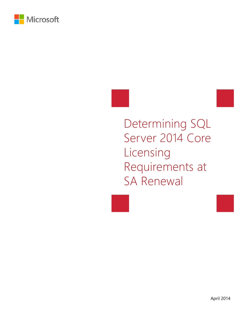

Determining SQL Server 2014 Core Licensing Requirements at SA Renewal

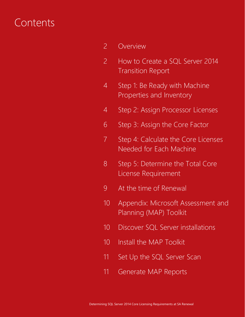## Contents

- 2 Overview
- 2 How to Create a SQL Server 2014 Transition Report
- 4 Step 1: Be Ready with Machine Properties and Inventory
- 4 Step 2: Assign Processor Licenses
- 6 Step 3: Assign the Core Factor
- 7 Step 4: Calculate the Core Licenses Needed for Each Machine
- 8 Step 5: Determine the Total Core License Requirement
- 9 At the time of Renewal
- 10 Appendix: Microsoft Assessment and Planning (MAP) Toolkit
- 10 Discover SQL Server installations
- 10 Install the MAP Toolkit
- 11 Set Up the SQL Server Scan
- 11 Generate MAP Reports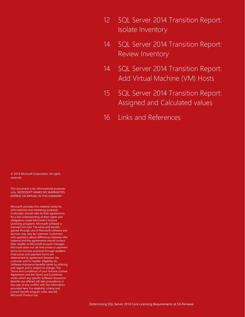- 12 SQL Server 2014 Transition Report: Isolate Inventory
- 14 SQL Server 2014 Transition Report: Review Inventory
- 14 SQL Server 2014 Transition Report: Add Virtual Machine (VM) Hosts
- 15 SQL Server 2014 Transition Report: Assigned and Calculated values
- 16 Links and References

© 2014 Microsoft Corporation. All rights reserved.

This document is for informational purposes only. MICROSOFT MAKES NO WARRANTIES, EXPRESS OR IMPLIED, IN THIS SUMMARY.

Microsoft provides this material solely for informational and marketing purposes. Customers should refer to their agreements for a full understanding of their rights and obligations under Microsoft's Volume Licensing programs. Microsoft software is licensed not sold. The value and benefit gained through use of Microsoft software and services may vary by customer. Customers with questions about differences between this material and the agreements should contact their reseller or Microsoft account manager. Microsoft does not set final prices or payment terms for licenses acquired through resellers. Final prices and payment terms are determined by agreement between the customer and its reseller. Eligibility for Software Assurance benefits varies by offering and region and is subject to change. The Terms and Conditions of your Volume License Agreement and the Terms and Conditions under which any specific Software Assurance benefits are offered will take precedence in the case of any conflict with the information provided here. For eligibility criteria and current benefit program rules, see the Microsoft Product List.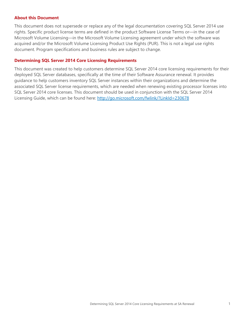#### **About this Document**

This document does not supersede or replace any of the legal documentation covering SQL Server 2014 use rights. Specific product license terms are defined in the product Software License Terms or—in the case of Microsoft Volume Licensing—in the Microsoft Volume Licensing agreement under which the software was acquired and/or the Microsoft Volume Licensing Product Use Rights (PUR). This is not a legal use rights document. Program specifications and business rules are subject to change.

### **Determining SQL Server 2014 Core Licensing Requirements**

This document was created to help customers determine SQL Server 2014 core licensing requirements for their deployed SQL Server databases, specifically at the time of their Software Assurance renewal. It provides guidance to help customers inventory SQL Server instances within their organizations and determine the associated SQL Server license requirements, which are needed when renewing existing processor licenses into SQL Server 2014 core licenses. This document should be used in conjunction with the SQL Server 2014 Licensing Guide, which can be found here: http://go.microsoft.com/fwlink/?LinkId=230678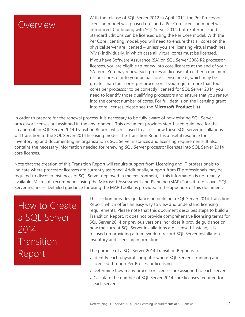

With the release of SQL Server 2012 in April 2012, the Per Processor licensing model was phased out, and a Per Core licensing model was introduced. Continuing with SQL Server 2014, both Enterprise and Standard Editions can be licensed using the Per Core model. With the Per Core licensing model, you will need to ensure that all cores on the physical server are licensed – unless you are licensing virtual machines (VMs) individually, in which case all virtual cores must be licensed. If you have Software Assurance (SA) on SQL Server 2008 R2 processor licenses, you are eligible to renew into core licenses at the end of your SA term. You may renew each processor license into either a minimum of four cores or into your actual core license needs, which may be greater than four cores per processor. If you require more than four cores per processor to be correctly licensed for SQL Server 2014, you need to identify those qualifying processors and ensure that you renew into the correct number of cores. For full details on the licensing grant into core licenses, please see the **Microsoft Product List**.

In order to prepare for the renewal process, it is necessary to be fully aware of how existing SQL Server processor licenses are assigned in the environment. This document provides step-based guidance for the creation of an SQL Server 2014 Transition Report, which is used to assess how these SQL Server installations will transition to the SQL Server 2014 licensing model. The Transition Report is a useful resource for inventorying and documenting an organization's SQL Server instances and licensing requirements. It also contains the necessary information needed for renewing SQL Server processor licenses into SQL Server 2014 core licenses.

Note that the creation of this Transition Report will require support from Licensing and IT professionals to indicate where processor licenses are currently assigned. Additionally, support from IT professionals may be required to discover instances of SQL Server deployed in the environment, if this information is not readily available. Microsoft recommends using the Microsoft Assessment and Planning (MAP) Toolkit to discover SQL Server instances. Detailed guidance for using the MAP Toolkit is provided in the appendix of this document.

How to Create a SQL Server 2014 Transition Report

This section provides guidance on building a SQL Server 2014 Transition Report, which offers an easy way to view and understand licensing requirements. Please note that this document describes steps to build a Transition Report. It does not provide comprehensive licensing terms for SQL Server 2014 or previous versions, nor does it provide guidance on how the current SQL Server installations are licensed. Instead, it is focused on providing a framework to record SQL Server installation inventory and licensing information.

The purpose of a SQL Server 2014 Transition Report is to:

- Identify each physical computer where SQL Server is running and licensed through Per Processor licensing.
- Determine how many processor licenses are assigned to each server.
- Calculate the number of SQL Server 2014 core licenses required for each server.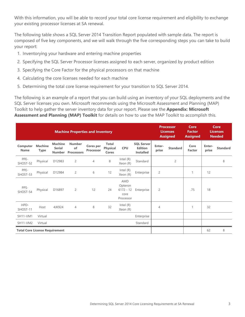With this information, you will be able to record your total core license requirement and eligibility to exchange your existing processor licenses at SA renewal.

The following table shows a SQL Server 2014 Transition Report populated with sample data. The report is composed of five key components, and we will walk through the five corresponding steps you can take to build your report:

- 1. Inventorying your hardware and entering machine properties
- 2. Specifying the SQL Server Processor licenses assigned to each server, organized by product edition
- 3. Specifying the Core Factor for the physical processors on that machine
- 4. Calculating the core licenses needed for each machine
- 5. Determining the total core license requirement for your transition to SQL Server 2014.

The following is an example of a report that you can build using an inventory of your SQL deployments and the SQL Server licenses you own. Microsoft recommends using the Microsoft Assessment and Planning (MAP) Toolkit to help gather the server inventory data for your report. Please see the **Appendix: Microsoft Assessment and Planning (MAP) Toolkit** for details on how to use the MAP Toolkit to accomplish this.

|                                       | <b>Machine Properties and Inventory</b> |                                                  |                                          |                               |                                          |                                                           |                                                         |                 | <b>Processor</b><br><b>Licenses</b><br><b>Assigned</b> |                       | Core<br>Core<br><b>Licenses</b><br><b>Factor</b><br><b>Assigned</b><br><b>Needed</b> |                 |
|---------------------------------------|-----------------------------------------|--------------------------------------------------|------------------------------------------|-------------------------------|------------------------------------------|-----------------------------------------------------------|---------------------------------------------------------|-----------------|--------------------------------------------------------|-----------------------|--------------------------------------------------------------------------------------|-----------------|
| Computer<br><b>Name</b>               | <b>Machine</b><br><b>Type</b>           | <b>Machine</b><br><b>Serial</b><br><b>Number</b> | <b>Number</b><br>of<br><b>Processors</b> | <b>Cores per</b><br>Processor | <b>Total</b><br><b>Physical</b><br>Cores | <b>CPU</b>                                                | <b>SQL Server</b><br><b>Edition</b><br><b>Installed</b> | Enter-<br>prise | <b>Standard</b>                                        | Core<br><b>Factor</b> | Enter-<br>prise                                                                      | <b>Standard</b> |
| PPE-<br>SHOST-52                      | Physical                                | D12983                                           | $\overline{c}$                           | $\overline{4}$                | 8                                        | Intel $(R)$<br>Xeon (R)                                   | Standard                                                |                 | $\overline{c}$                                         |                       |                                                                                      | 8               |
| PPE-<br>SHOST-53                      | Physical                                | D12984                                           | $\overline{c}$                           | 6                             | 12                                       | Intel (R)<br>Xeon (R)                                     | Enterprise                                              | $\overline{2}$  |                                                        | $\mathbf{1}$          | 12                                                                                   |                 |
| PPS-<br>SHOST-54                      | Physical                                | D16897                                           | $\overline{2}$                           | 12                            | 24                                       | <b>AMD</b><br>Opteron<br>$6172 - 12$<br>core<br>Processor | Enterprise                                              | $\overline{2}$  |                                                        | .75                   | 18                                                                                   |                 |
| HPD-<br>SHOST-11                      | Host                                    | 4JK924                                           | $\overline{4}$                           | 8                             | 32                                       | Intel $(R)$<br>Xeon (R)                                   |                                                         | $\overline{4}$  |                                                        | $\mathbf{1}$          | 32                                                                                   |                 |
| <b>SH11-VM1</b>                       | Virtual                                 |                                                  |                                          |                               |                                          |                                                           | Enterprise                                              |                 |                                                        |                       |                                                                                      |                 |
| <b>SH11-VM2</b>                       | Virtual                                 |                                                  |                                          |                               |                                          |                                                           | Standard                                                |                 |                                                        |                       |                                                                                      |                 |
| <b>Total Core License Requirement</b> |                                         |                                                  |                                          |                               |                                          |                                                           |                                                         |                 |                                                        |                       | 62                                                                                   | 8               |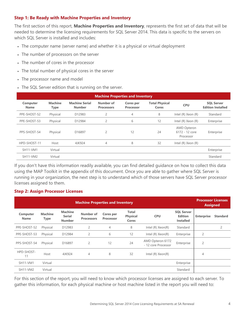### **Step 1: Be Ready with Machine Properties and Inventory**

The first section of this report, **Machine Properties and Inventory**, represents the first set of data that will be needed to determine the licensing requirements for SQL Server 2014. This data is specific to the servers on which SQL Server is installed and includes:

- The computer name (server name) and whether it is a physical or virtual deployment
- The number of processors on the server
- The number of cores in the processor
- The total number of physical cores in the server
- The processor name and model
- The SQL Server edition that is running on the server.

|                         | <b>Machine Properties and Inventory</b> |                                        |                                |                               |                                |                                                   |                                               |  |  |  |  |
|-------------------------|-----------------------------------------|----------------------------------------|--------------------------------|-------------------------------|--------------------------------|---------------------------------------------------|-----------------------------------------------|--|--|--|--|
| Computer<br><b>Name</b> | <b>Machine</b><br>Type                  | <b>Machine Serial</b><br><b>Number</b> | Number of<br><b>Processors</b> | Cores per<br><b>Processor</b> | <b>Total Physical</b><br>Cores | <b>CPU</b>                                        | <b>SQL Server</b><br><b>Edition Installed</b> |  |  |  |  |
| PPE-SHOST-52            | Physical                                | D12983                                 | 2                              | $\overline{4}$                | 8                              | Intel (R) Xeon (R)                                | Standard                                      |  |  |  |  |
| PPE-SHOST-53            | Physical                                | D12984                                 | $\overline{c}$                 | 6                             | 12                             | Intel (R) Xeon (R)                                | Enterprise                                    |  |  |  |  |
| PPS-SHOST-54            | Physical                                | D16897                                 | $\overline{c}$                 | 12                            | 24                             | <b>AMD Opteron</b><br>6172 - 12 core<br>Processor | Enterprise                                    |  |  |  |  |
| HPD-SHOST-11            | Host                                    | 4JK924                                 | $\overline{4}$                 | 8                             | 32                             | Intel (R) Xeon (R)                                |                                               |  |  |  |  |
| <b>SH11-VM1</b>         | Virtual                                 |                                        |                                |                               |                                |                                                   | Enterprise                                    |  |  |  |  |
| SH11-VM2                | Virtual                                 |                                        |                                |                               |                                |                                                   | Standard                                      |  |  |  |  |

If you don't have this information readily available, you can find detailed guidance on how to collect this data using the MAP Toolkit in the appendix of this document. Once you are able to gather where SQL Server is running in your organization, the next step is to understand which of those servers have SQL Server processor licenses assigned to them.

### **Step 2: Assign Processor Licenses**

|                         | <b>Processor Licenses</b><br><b>Machine Properties and Inventory</b> |                                                  |                                |                               |                                                 |                                         |                                                         |                   |                 |  |
|-------------------------|----------------------------------------------------------------------|--------------------------------------------------|--------------------------------|-------------------------------|-------------------------------------------------|-----------------------------------------|---------------------------------------------------------|-------------------|-----------------|--|
| Computer<br><b>Name</b> | <b>Machine</b><br>Type                                               | <b>Machine</b><br><b>Serial</b><br><b>Number</b> | Number of<br><b>Processors</b> | Cores per<br><b>Processor</b> | <b>Total</b><br><b>Physical</b><br><b>Cores</b> | <b>CPU</b>                              | <b>SQL Server</b><br><b>Edition</b><br><b>Installed</b> | <b>Enterprise</b> | <b>Standard</b> |  |
| PPE-SHOST-52            | Physical                                                             | D12983                                           | $\overline{c}$                 | 4                             | 8                                               | Intel $(R)$ Xeon $(R)$                  | Standard                                                |                   | $\overline{c}$  |  |
| PPE-SHOST-53            | Physical                                                             | D12984                                           | $\overline{c}$                 | 6                             | 12                                              | Intel $(R)$ Xeon $(R)$                  | Enterprise                                              | $\overline{c}$    |                 |  |
| PPS-SHOST-54            | Physical                                                             | D16897                                           | $\overline{c}$                 | 12                            | 24                                              | AMD Opteron 6172<br>- 12 core Processor | Enterprise                                              | $\overline{c}$    |                 |  |
| HPD-SHOST-<br>11        | Host                                                                 | 4JK924                                           | 4                              | 8                             | 32                                              | Intel (R) Xeon(R)                       |                                                         | 4                 |                 |  |
| <b>SH11-VM1</b>         | Virtual                                                              |                                                  |                                |                               |                                                 |                                         | Enterprise                                              |                   |                 |  |
| SH11-VM2                | Virtual                                                              |                                                  |                                |                               |                                                 |                                         | Standard                                                |                   |                 |  |

For this section of the report, you will need to know which processor licenses are assigned to each server. To gather this information, for each physical machine or host machine listed in the report you will need to: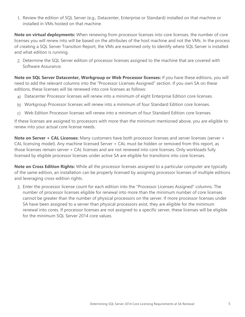1. Review the edition of SQL Server (e.g., Datacenter, Enterprise or Standard) installed on that machine or installed in VMs hosted on that machine.

**Note on virtual deployments:** When renewing from processor licenses into core licenses, the number of core licenses you will renew into will be based on the attributes of the host machine and not the VMs. In the process of creating a SQL Server Transition Report, the VMs are examined only to identify where SQL Server is installed and what edition is running.

2. Determine the SQL Server edition of processor licenses assigned to the machine that are covered with Software Assurance.

**Note on SQL Server Datacenter, Workgroup or Web Processor licenses:** If you have these editions, you will need to add the relevant columns into the "Processor Licenses Assigned" section. If you own SA on these editions, these licenses will be renewed into core licenses as follows:

- a) Datacenter Processor licenses will renew into a minimum of eight Enterprise Edition core licenses.
- b) Workgroup Processor licenses will renew into a minimum of four Standard Edition core licenses.
- c) Web Edition Processor licenses will renew into a minimum of four Standard Edition core licenses.

If these licenses are assigned to processors with more than the minimum mentioned above, you are eligible to renew into your actual core license needs.

**Note on Server + CAL Licenses:** Many customers have both processor licenses and server licenses (server + CAL licensing model). Any machine licensed Server + CAL must be hidden or removed from this report, as those licenses remain server + CAL licenses and are not renewed into core licenses. Only workloads fully licensed by eligible processor licenses under active SA are eligible for transitions into core licenses.

**Note on Cross Edition Rights:** While all the processor licenses assigned to a particular computer are typically of the same edition, an installation can be properly licensed by assigning processor licenses of multiple editions and leveraging cross-edition rights.

3. Enter the processor license count for each edition into the "Processor Licenses Assigned" columns. The number of processor licenses eligible for renewal into more than the minimum number of core licenses cannot be greater than the number of physical processors on the server. If more processor licenses under SA have been assigned to a server than physical processors exist, they are eligible for the minimum renewal into cores. If processor licenses are not assigned to a specific server, these licenses will be eligible for the minimum SQL Server 2014 core values.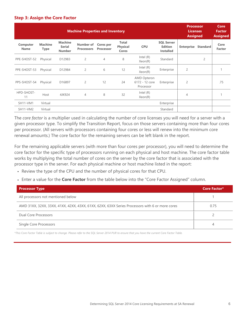#### **Step 3: Assign the Core Factor**

|                         | <b>Machine Properties and Inventory</b> |                                                  |                                |                               |                                          |                                                   |                                                         |                            |                | Core<br><b>Factor</b><br><b>Assigned</b> |
|-------------------------|-----------------------------------------|--------------------------------------------------|--------------------------------|-------------------------------|------------------------------------------|---------------------------------------------------|---------------------------------------------------------|----------------------------|----------------|------------------------------------------|
| Computer<br><b>Name</b> | <b>Machine</b><br><b>Type</b>           | <b>Machine</b><br><b>Serial</b><br><b>Number</b> | Number of<br><b>Processors</b> | <b>Cores per</b><br>Processor | <b>Total</b><br><b>Physical</b><br>Cores | <b>CPU</b>                                        | <b>SQL Server</b><br><b>Edition</b><br><b>Installed</b> | <b>Enterprise Standard</b> |                | Core<br><b>Factor</b>                    |
| PPE-SHOST-52            | Physical                                | D12983                                           | $\overline{c}$                 | $\overline{4}$                | 8                                        | Intel $(R)$<br>Xeon(R)                            | Standard                                                |                            | $\overline{2}$ |                                          |
| PPE-SHOST-53            | Physical                                | D12984                                           | 2                              | 6                             | 12                                       | Intel $(R)$<br>Xeon(R)                            | Enterprise                                              | $\overline{c}$             |                |                                          |
| PPS-SHOST-54            | Physical                                | D16897                                           | 2                              | 12                            | 24                                       | <b>AMD Opteron</b><br>6172 - 12 core<br>Processor | Enterprise                                              | $\overline{c}$             |                | .75                                      |
| HPD-SHOST-<br>11        | Host                                    | 4JK924                                           | $\overline{4}$                 | 8                             | 32                                       | Intel $(R)$<br>Xeon(R)                            |                                                         | 4                          |                |                                          |
| <b>SH11-VM1</b>         | Virtual                                 |                                                  |                                |                               |                                          |                                                   | Enterprise                                              |                            |                |                                          |
| SH11-VM2                | Virtual                                 |                                                  |                                |                               |                                          |                                                   | Standard                                                |                            |                |                                          |

The *core factor* is a multiplier used in calculating the number of core licenses you will need for a server with a given processor type. To simplify the Transition Report, focus on those servers containing more than four cores per processor. (All servers with processors containing four cores or less will renew into the minimum core renewal amounts.) The core factor for the remaining servers can be left blank in the report.

For the remaining applicable servers (with more than four cores per processor), you will need to determine the core factor for the specific type of processors running on each physical and host machine. The core factor table works by multiplying the total number of cores on the server by the core factor that is associated with the processor type in the server. For each physical machine or host machine listed in the report:

- Review the type of the CPU and the number of physical cores for that CPU.
- Enter a value for the **Core Factor** from the table below into the "Core Factor Assigned" column.

| <b>Processor Type</b>                                                                           | Core Factor* |
|-------------------------------------------------------------------------------------------------|--------------|
| All processors not mentioned below                                                              |              |
| AMD 31XX, 32XX, 33XX, 41XX, 42XX, 43XX, 61XX, 62XX, 63XX Series Processors with 6 or more cores | 0.75         |
| Dual Core Processors                                                                            |              |
| Single Core Processors                                                                          |              |

*\*This Core Factor Table is subject to change. Please refer to the SQL Server 2014 PUR to ensure that you have the current Core Factor Table.*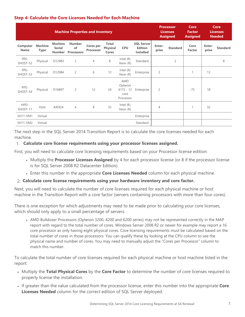### **Step 4: Calculate the Core Licenses Needed for Each Machine**

|                         |                               |                                                  | <b>Machine Properties and Inventory</b>  |                               |                                          |                                                    |                                                         |                 | <b>Processor</b><br><b>Licenses</b><br><b>Assigned</b> | Core<br><b>Factor</b><br><b>Assigned</b> |                 | <b>Core</b><br><b>Licenses</b><br><b>Needed</b> |
|-------------------------|-------------------------------|--------------------------------------------------|------------------------------------------|-------------------------------|------------------------------------------|----------------------------------------------------|---------------------------------------------------------|-----------------|--------------------------------------------------------|------------------------------------------|-----------------|-------------------------------------------------|
| Computer<br><b>Name</b> | <b>Machine</b><br><b>Type</b> | <b>Machine</b><br><b>Serial</b><br><b>Number</b> | <b>Number</b><br>of<br><b>Processors</b> | Cores per<br><b>Processor</b> | <b>Total</b><br><b>Physical</b><br>Cores | <b>CPU</b>                                         | <b>SQL Server</b><br><b>Edition</b><br><b>Installed</b> | Enter-<br>prise | <b>Standard</b>                                        | Core<br>Factor                           | Enter-<br>prise | <b>Standard</b>                                 |
| PPE-<br>SHOST-52        | Physical                      | D12983                                           | $\overline{2}$                           | $\overline{4}$                | 8                                        | Intel (R)<br>Xeon (R)                              | Standard                                                |                 | $\overline{c}$                                         |                                          |                 | 8                                               |
| PPE-<br>SHOST-53        | Physical                      | D12984                                           | $\overline{2}$                           | 6                             | 12                                       | Intel $(R)$<br>Xeon (R)                            | Enterprise                                              | $\overline{c}$  |                                                        | 1                                        | 12              |                                                 |
| PPS-<br>SHOST-54        | Physical                      | D16897                                           | $\overline{2}$                           | 12                            | 24                                       | AMD<br>Opteron<br>$6172 - 12$<br>core<br>Processor | Enterprise                                              | $\overline{c}$  |                                                        | .75                                      | 18              |                                                 |
| HPD-<br>SHOST-11        | Host                          | 4JK924                                           | $\overline{4}$                           | 8                             | 32                                       | Intel $(R)$<br>Xeon (R)                            |                                                         | 4               |                                                        |                                          | 32              |                                                 |
| <b>SH11-VM1</b>         | Virtual                       |                                                  |                                          |                               |                                          |                                                    | Enterprise                                              |                 |                                                        |                                          |                 |                                                 |
| <b>SH11-VM2</b>         | Virtual                       |                                                  |                                          |                               |                                          |                                                    | Standard                                                |                 |                                                        |                                          |                 |                                                 |

The next step in the SQL Server 2014 Transition Report is to calculate the core licenses needed for each machine.

### 1. **Calculate core license requirements using your processor licenses assigned.**

First, you will need to calculate core licensing requirements based on your Processor license edition:

- Multiply the **Processor Licenses Assigned** by 4 for each processor license (or 8 if the processor license is for SQL Server 2008 R2 Datacenter Edition).
- Enter this number in the appropriate **Core Licenses Needed** column for each physical machine.

### 2. **Calculate core license requirements using your hardware inventory and core factor.**

Next, you will need to calculate the number of core licenses required for each physical machine or host machine in the Transition Report with a core factor (servers containing processors with more than four cores).

There is one exception for which adjustments may need to be made prior to calculating your core licenses, which should only apply to a small percentage of servers:

 AMD Bulldozer Processors (Opteron 3200, 4200 and 6200 series) may not be represented correctly in the MAP report with regard to the total number of cores. Windows Server 2008 R2 or newer for example may report a 16 core processor as only having eight physical cores. Core licensing requirements must be calculated based on the total number of cores in those processors. You can qualify these by looking at the CPU column to see the physical name and number of cores. You may need to manually adjust the "Cores per Processor" column to match this number.

To calculate the total number of core licenses required for each physical machine or host machine listed in the report:

- Multiply the **Total Physical Cores** by the **Core Factor** to determine the number of core licenses required to properly license the installation.
- If greater than the value calculated from the processor license, enter this number into the appropriate **Core Licenses Needed** column for the correct edition of SQL Server deployed.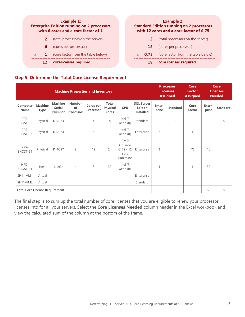|              |   | <b>Example 1:</b>                  |                                                                                          |              |      | <b>Example 2:</b><br><b>Standard Edition running on 2 processor</b><br>with 12 cores and a core factor of 0.75 |
|--------------|---|------------------------------------|------------------------------------------------------------------------------------------|--------------|------|----------------------------------------------------------------------------------------------------------------|
|              |   | (total processors on the server)   |                                                                                          |              |      | (total processors on the server)                                                                               |
|              | 6 | (cores per processor)              |                                                                                          |              | 12   | (cores per processor)                                                                                          |
| $\mathbf{x}$ |   | (core factor from the table below) |                                                                                          | $\mathbf{x}$ | 0.75 | (core factor from the table belov                                                                              |
|              |   | core licenses required             |                                                                                          | $=$          | 18   | core licenses required                                                                                         |
|              |   |                                    | <b>Enterprise Edition running on 2 processors</b><br>with 6 cores and a core factor of 1 |              |      |                                                                                                                |

### **Step 5: Determine the Total Core License Requirement**

|                                       |                               |                                                  | <b>Machine Properties and Inventory</b>  |                                      |                                          |                                                           |                                                         |                 | <b>Processor</b><br><b>Licenses</b><br><b>Assigned</b> | Core<br><b>Factor</b><br><b>Assigned</b> |                 | Core<br><b>Licenses</b><br><b>Needed</b> |
|---------------------------------------|-------------------------------|--------------------------------------------------|------------------------------------------|--------------------------------------|------------------------------------------|-----------------------------------------------------------|---------------------------------------------------------|-----------------|--------------------------------------------------------|------------------------------------------|-----------------|------------------------------------------|
| Computer<br>Name                      | <b>Machine</b><br><b>Type</b> | <b>Machine</b><br><b>Serial</b><br><b>Number</b> | <b>Number</b><br>of<br><b>Processors</b> | <b>Cores per</b><br><b>Processor</b> | <b>Total</b><br><b>Physical</b><br>Cores | <b>CPU</b>                                                | <b>SQL Server</b><br><b>Edition</b><br><b>Installed</b> | Enter-<br>prise | <b>Standard</b>                                        | Core<br><b>Factor</b>                    | Enter-<br>prise | <b>Standard</b>                          |
| PPE-<br>SHOST-52                      | Physical                      | D12983                                           | $\overline{2}$                           | $\overline{4}$                       | 8                                        | Intel $(R)$<br>Xeon (R)                                   | Standard                                                |                 | $\overline{c}$                                         |                                          |                 | 8                                        |
| PPE-<br>SHOST-53                      | Physical                      | D12984                                           | $\overline{2}$                           | 6                                    | 12                                       | Intel $(R)$<br>Xeon (R)                                   | Enterprise                                              | $\overline{2}$  |                                                        | $\mathbf{1}$                             | 12              |                                          |
| PPS-<br>SHOST-54                      | Physical                      | D16897                                           | $\overline{2}$                           | 12                                   | 24                                       | <b>AMD</b><br>Opteron<br>$6172 - 12$<br>core<br>Processor | Enterprise                                              | $\overline{2}$  |                                                        | .75                                      | 18              |                                          |
| HPD-<br>SHOST-11                      | Host                          | 4JK924                                           | $\overline{4}$                           | 8                                    | 32                                       | Intel $(R)$<br>Xeon (R)                                   |                                                         | $\overline{4}$  |                                                        | 1                                        | 32              |                                          |
| <b>SH11-VM1</b>                       | Virtual                       |                                                  |                                          |                                      |                                          |                                                           | Enterprise                                              |                 |                                                        |                                          |                 |                                          |
| SH11-VM2                              | Virtual                       |                                                  |                                          |                                      |                                          |                                                           | Standard                                                |                 |                                                        |                                          |                 |                                          |
| <b>Total Core License Requirement</b> |                               |                                                  |                                          |                                      |                                          |                                                           |                                                         |                 |                                                        |                                          | 62              | 8                                        |

The final step is to sum up the total number of core licenses that you are eligible to renew your processor licenses into for all your servers. Select the **Core Licenses Needed** column header in the Excel workbook and view the calculated sum of the column at the bottom of the frame.

s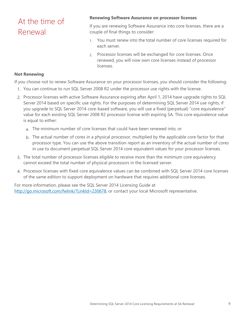## At the time of Renewal

### **Renewing Software Assurance on processor licenses**

If you are renewing Software Assurance into core licenses, there are a couple of final things to consider:

- 1. You must renew into the total number of core licenses required for each server.
- 2. Processor licenses will be exchanged for core licenses. Once renewed, you will now own core licenses instead of processor licenses.

#### **Not Renewing**

If you choose not to renew Software Assurance on your processor licenses, you should consider the following:

- 1. You can continue to run SQL Server 2008 R2 under the processor use rights with the license.
- 2. Processor licenses with active Software Assurance expiring after April 1, 2014 have upgrade rights to SQL Server 2014 based on specific use rights. For the purposes of determining SQL Server 2014 use rights, if you upgrade to SQL Server 2014 core-based software, you will use a fixed (perpetual) "core equivalence" value for each existing SQL Server 2008 R2 processor license with expiring SA. This core equivalence value is equal to either:
	- a. The minimum number of core licenses that could have been renewed into; or
	- b. The actual number of cores in a physical processor, multiplied by the applicable core factor for that processor type. You can use the above transition report as an inventory of the actual number of cores in use to document perpetual SQL Server 2014 core equivalent values for your processor licenses.
- 3. The total number of processor licenses eligible to receive more than the minimum core equivalency cannot exceed the total number of physical processors in the licensed server.
- 4. Processor licenses with fixed core equivalence values can be combined with SQL Server 2014 core licenses of the same edition to support deployment on hardware that requires additional core licenses.

For more information, please see the SQL Server 2014 Licensing Guide at http://go.microsoft.com/fwlink/?LinkId=230678, or contact your local Microsoft representative.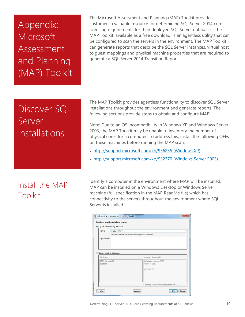# Appendix: Microsoft Assessment and Planning (MAP) Toolkit

The Microsoft Assessment and Planning (MAP) Toolkit provides customers a valuable resource for determining SQL Server 2014 core licensing requirements for their deployed SQL Server databases. The MAP Toolkit, available as a free download, is an agentless utility that can be configured to scan the servers in the environment. The MAP Toolkit can generate reports that describe the SQL Server instances, virtual host to guest mappings and physical machine properties that are required to generate a SQL Server 2014 Transition Report.

# Discover SQL Server installations

## Install the MAP Toolkit

The MAP Toolkit provides agentless functionality to discover SQL Server installations throughout the environment and generate reports. The following sections provide steps to obtain and configure MAP:

Note: Due to an OS incompatibility in Windows XP and Windows Server 2003, the MAP Toolkit may be unable to inventory the number of physical cores for a computer. To address this, install the following QFEs on these machines before running the MAP scan:

- http://support.microsoft.com/kb/936235 (Windows XP)
- http://support.microsoft.com/kb/932370 (Windows Server 2003)

Identify a computer in the environment where MAP will be installed. MAP can be installed on a Windows Desktop or Windows Server machine (full specification in the MAP ReadMe file) which has connectivity to the servers throughout the environment where SQL Server is installed.

|                          | <sup>O</sup> Create an inventory database                         |                        |  |  |  |  |  |
|--------------------------|-------------------------------------------------------------------|------------------------|--|--|--|--|--|
| Name:                    | test04122012<br>Database names cannot contain special characters. |                        |  |  |  |  |  |
|                          |                                                                   |                        |  |  |  |  |  |
| Description:             |                                                                   |                        |  |  |  |  |  |
|                          |                                                                   |                        |  |  |  |  |  |
|                          |                                                                   |                        |  |  |  |  |  |
|                          |                                                                   |                        |  |  |  |  |  |
| Use an existing database |                                                                   |                        |  |  |  |  |  |
| Databases                |                                                                   | Summary Information    |  |  |  |  |  |
|                          |                                                                   | Databace version: 3722 |  |  |  |  |  |
| MAP_SampleDB             |                                                                   |                        |  |  |  |  |  |
| student                  |                                                                   | Ready to use.          |  |  |  |  |  |
|                          |                                                                   | Description:           |  |  |  |  |  |
|                          |                                                                   |                        |  |  |  |  |  |
|                          |                                                                   |                        |  |  |  |  |  |
|                          |                                                                   |                        |  |  |  |  |  |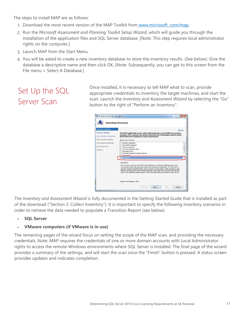The steps to install MAP are as follows:

- 1. Download the most recent version of the MAP Toolkit from www.microsoft.com/map.
- 2. Run the *Microsoft Assessment and Planning Toolkit Setup Wizard*, which will guide you through the installation of the application files and SQL Server database. [Note: This step requires local administrator rights on the computer.]
- 3. Launch MAP from the Start Menu.
- 4. You will be asked to create a new inventory database to store the inventory results. (See below). Give the database a descriptive name and then click OK. [Note: Subsequently, you can get to this screen from the File menu > Select A Database.]

## Set Up the SQL Server Scan

Once installed, it is necessary to tell MAP what to scan, provide appropriate credentials to inventory the target machines, and start the scan. Launch the *Inventory and Assessment Wizard* by selecting the "Go" button to the right of "Perform an Inventory".

| <b>Inventory Scenarios</b><br>Discovery Methods<br>Active Directory Credentials<br>Active Directory Options<br>All Computers Credentials | <b>te</b> Help<br>The MAP Toolkit helps you to collect information for several different inventory<br>scenarios. The scenarios you choose determine the technologies used to colect<br>information from computers in your environment.<br>Choose your scenario.<br>Windows computers                                                                                                                                                                                                |
|------------------------------------------------------------------------------------------------------------------------------------------|-------------------------------------------------------------------------------------------------------------------------------------------------------------------------------------------------------------------------------------------------------------------------------------------------------------------------------------------------------------------------------------------------------------------------------------------------------------------------------------|
| Credentials Order<br>Summary                                                                                                             | Linux/UNIX computers<br><b><i><u>Mivare</u></i></b> computers<br>Active Devices and Users<br>Exchange Server<br>Forefront Endpoint Protection Server<br><b>Lynn Server</b><br>V SQL Server                                                                                                                                                                                                                                                                                          |
|                                                                                                                                          | Description<br>This inventory scenario uses WMI to track SQL Server component deployments in your<br>environment, along with operating system and hardware configuration. The SQL Server<br>scenario will only populate the SQL Server reports, as this option is often used for a quick<br>discovery of SQL Server and for license planning. This option will run quicker than the SQL<br>Server with Database Details scenario, since this option does not connect to SQL Server. |
|                                                                                                                                          | Collector Technologies: WMI                                                                                                                                                                                                                                                                                                                                                                                                                                                         |

The *Inventory and Assessment Wizard* is fully documented in the Getting Started Guide that is installed as part of the download ("Section 2: Collect Inventory"). It is important to specify the following inventory scenarios in order to retrieve the data needed to populate a Transition Report (see below):

**SQL Server** 

### **VMware computers (if VMware is in use)**

The remaining pages of the wizard focus on setting the scope of the MAP scan, and providing the necessary credentials. Note: MAP requires the credentials of one or more domain accounts with Local Administrator rights to access the remote Windows environments where SQL Server is installed. The final page of the wizard provides a summary of the settings, and will start the scan once the "Finish" button is pressed. A status screen provides updates and indicates completion.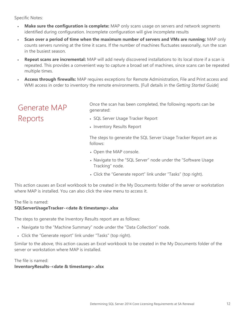Specific Notes:

- **Make sure the configuration is complete:** MAP only scans usage on servers and network segments identified during configuration. Incomplete configuration will give incomplete results
- **Scan over a period of time when the maximum number of servers and VMs are running:** MAP only counts servers running at the time it scans. If the number of machines fluctuates seasonally, run the scan in the busiest season.
- **Repeat scans are incremental:** MAP will add newly discovered installations to its local store if a scan is repeated. This provides a convenient way to capture a broad set of machines, since scans can be repeated multiple times.
- **Access through firewalls:** MAP requires exceptions for Remote Administration, File and Print access and WMI access in order to inventory the remote environments. [Full details in the *Getting Started Guide*]

### Generate MAP Reports

Once the scan has been completed, the following reports can be generated:

- SQL Server Usage Tracker Report
- Inventory Results Report

The steps to generate the SQL Server Usage Tracker Report are as follows:

- Open the MAP console.
- Navigate to the "SQL Server" node under the "Software Usage Tracking" node.
- Click the "Generate report" link under "Tasks" (top right).

This action causes an Excel workbook to be created in the My Documents folder of the server or workstation where MAP is installed. You can also click the view menu to access it.

### The file is named:

### **SQLServerUsageTracker-<date & timestamp>.xlsx**

The steps to generate the Inventory Results report are as follows:

- Navigate to the "Machine Summary" node under the "Data Collection" node.
- Click the "Generate report" link under "Tasks" (top right).

Similar to the above, this action causes an Excel workbook to be created in the My Documents folder of the server or workstation where MAP is installed.

The file is named: **InventoryResults-<date & timestamp>.xlsx**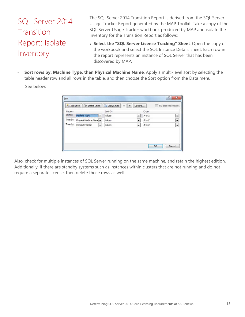## SQL Server 2014 Transition Report: Isolate Inventory

The SQL Server 2014 Transition Report is derived from the SQL Server Usage Tracker Report generated by the MAP Toolkit. Take a copy of the SQL Server Usage Tracker workbook produced by MAP and isolate the inventory for the Transition Report as follows:

- **Select the "SQL Server License Tracking" Sheet**. Open the copy of the workbook and select the SQL Instance Details sheet. Each row in the report represents an instance of SQL Server that has been discovered by MAP.
- **Sort rows by: Machine Type, then Physical Machine Name**. Apply a multi-level sort by selecting the table header row and all rows in the table, and then choose the Sort option from the Data menu.

See below:

| $\overline{\phantom{0}}$ |
|--------------------------|
|                          |
|                          |
| $\overline{\phantom{0}}$ |
| $\overline{\phantom{0}}$ |
|                          |

Also, check for multiple instances of SQL Server running on the same machine, and retain the highest edition. Additionally, if there are standby systems such as instances within clusters that are not running and do not require a separate license, then delete those rows as well.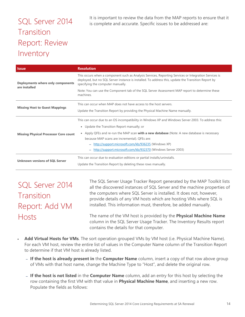## SQL Server 2014 Transition Report: Review Inventory

It is important to review the data from the MAP reports to ensure that it is complete and accurate. Specific issues to be addressed are:

| <b>Issue</b>                                       | <b>Resolution</b>                                                                                                                                                                                                                                 |
|----------------------------------------------------|---------------------------------------------------------------------------------------------------------------------------------------------------------------------------------------------------------------------------------------------------|
| Deployments where only components<br>are installed | This occurs when a component such as Analysis Services, Reporting Services or Integration Services is<br>deployed, but no SQL Server instance is installed. To address this, update the Transition Report by<br>specifying the computer manually. |
|                                                    | Note: You can use the Component tab of the SQL Server Assessment MAP report to determine these<br>machines.                                                                                                                                       |
|                                                    | This can occur when MAP does not have access to the host servers.                                                                                                                                                                                 |
| <b>Missing Host to Guest Mappings</b>              | Update the Transition Report by providing the Physical Machine Name manually.                                                                                                                                                                     |
|                                                    | This can occur due to an OS incompatibility in Windows XP and Windows Server 2003. To address this:                                                                                                                                               |
|                                                    | • Update the Transition Report manually; or                                                                                                                                                                                                       |
| <b>Missing Physical Processor Core count</b>       | • Apply QFEs and re-run the MAP scan <b>with a new database</b> (Note: A new database is necessary                                                                                                                                                |
|                                                    | because MAP scans are incremental). QFEs are:                                                                                                                                                                                                     |
|                                                    | - http://support.microsoft.com/kb/936235 (Windows XP)                                                                                                                                                                                             |
|                                                    | http://support.microsoft.com/kb/932370 (Windows Server 2003)                                                                                                                                                                                      |
| <b>Unknown versions of SQL Server</b>              | This can occur due to evaluation editions or partial installs/uninstalls.                                                                                                                                                                         |
|                                                    | Update the Transition Report by deleting these rows manually.                                                                                                                                                                                     |

## SQL Server 2014 **Transition** Report: Add VM Hosts

The SQL Server Usage Tracker Report generated by the MAP Toolkit lists all the discovered instances of SQL Server and the machine properties of the computers where SQL Server is installed. It does not, however, provide details of any VM hosts which are hosting VMs where SQL is installed. This information must, therefore, be added manually.

The name of the VM host is provided by the **Physical Machine Name** column in the SQL Server Usage Tracker. The Inventory Results report contains the details for that computer.

- **Add Virtual Hosts for VMs**. The sort operation grouped VMs by VM host (i.e. Physical Machine Name). For each VM host, review the entire list of values in the Computer Name column of the Transition Report to determine if that VM host is already listed.
	- **If the host is already present in** the **Computer Name** column, insert a copy of that row above group of VMs with that host name, change the Machine Type to "Host", and delete the original row.
	- **If the host is not listed** in the **Computer Name** column, add an entry for this host by selecting the row containing the first VM with that value in **Physical Machine Name**, and inserting a new row. Populate the fields as follows: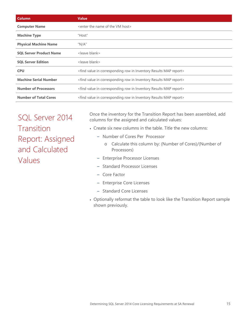| Column                         | <b>Value</b>                                                                                  |
|--------------------------------|-----------------------------------------------------------------------------------------------|
| <b>Computer Name</b>           | <enter host="" name="" of="" the="" vm=""></enter>                                            |
| <b>Machine Type</b>            | "Host"                                                                                        |
| <b>Physical Machine Name</b>   | ''N/A''                                                                                       |
| <b>SQL Server Product Name</b> | <leave blank=""></leave>                                                                      |
| <b>SQL Server Edition</b>      | <leave blank=""></leave>                                                                      |
| <b>CPU</b>                     | <find corresponding="" in="" inventory="" map="" report="" results="" row="" value=""></find> |
| <b>Machine Serial Number</b>   | <find corresponding="" in="" inventory="" map="" report="" results="" row="" value=""></find> |
| <b>Number of Processors</b>    | <find corresponding="" in="" inventory="" map="" report="" results="" row="" value=""></find> |
| <b>Number of Total Cores</b>   | <find corresponding="" in="" inventory="" map="" report="" results="" row="" value=""></find> |

SQL Server 2014 **Transition** Report: Assigned and Calculated Values

Once the inventory for the Transition Report has been assembled, add columns for the assigned and calculated values:

- Create six new columns in the table. Title the new columns:
	- Number of Cores Per Processor
		- o Calculate this column by: (Number of Cores)/(Number of Processors)
	- Enterprise Processor Licenses
	- Standard Processor Licenses
	- Core Factor
	- Enterprise Core Licenses
	- Standard Core Licenses
- Optionally reformat the table to look like the Transition Report sample shown previously.